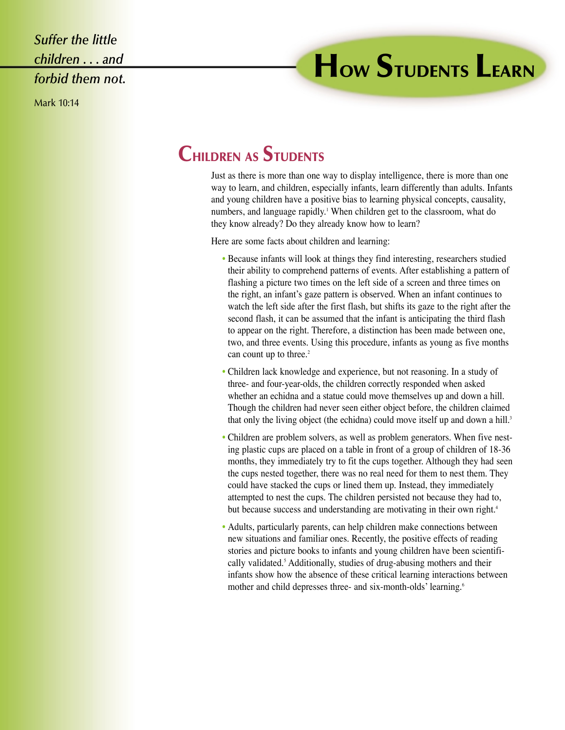*Suffer the little children . . . and forbid them not.*

Mark 10:14

## **HOW STUDENTS LEARN**

## **CHILDREN AS STUDENTS**

Just as there is more than one way to display intelligence, there is more than one way to learn, and children, especially infants, learn differently than adults. Infants and young children have a positive bias to learning physical concepts, causality, numbers, and language rapidly.<sup>1</sup> When children get to the classroom, what do they know already? Do they already know how to learn?

Here are some facts about children and learning:

- Because infants will look at things they find interesting, researchers studied their ability to comprehend patterns of events. After establishing a pattern of flashing a picture two times on the left side of a screen and three times on the right, an infant's gaze pattern is observed. When an infant continues to watch the left side after the first flash, but shifts its gaze to the right after the second flash, it can be assumed that the infant is anticipating the third flash to appear on the right. Therefore, a distinction has been made between one, two, and three events. Using this procedure, infants as young as five months can count up to three.<sup>2</sup>
- Children lack knowledge and experience, but not reasoning. In a study of three- and four-year-olds, the children correctly responded when asked whether an echidna and a statue could move themselves up and down a hill. Though the children had never seen either object before, the children claimed that only the living object (the echidna) could move itself up and down a hill.<sup>3</sup>
- Children are problem solvers, as well as problem generators. When five nesting plastic cups are placed on a table in front of a group of children of 18-36 months, they immediately try to fit the cups together. Although they had seen the cups nested together, there was no real need for them to nest them. They could have stacked the cups or lined them up. Instead, they immediately attempted to nest the cups. The children persisted not because they had to, but because success and understanding are motivating in their own right.<sup>4</sup>
- Adults, particularly parents, can help children make connections between new situations and familiar ones. Recently, the positive effects of reading stories and picture books to infants and young children have been scientifically validated.<sup>5</sup> Additionally, studies of drug-abusing mothers and their infants show how the absence of these critical learning interactions between mother and child depresses three- and six-month-olds' learning.<sup>6</sup>